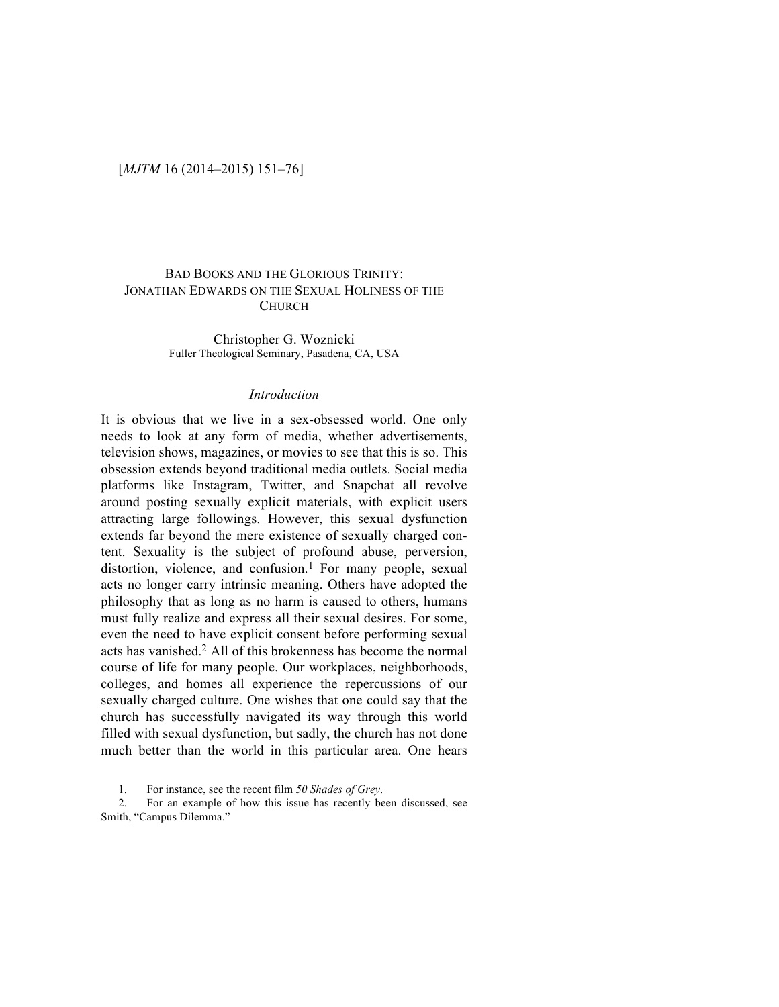# BAD BOOKS AND THE GLORIOUS TRINITY: JONATHAN EDWARDS ON THE SEXUAL HOLINESS OF THE CHURCH

Christopher G. Woznicki Fuller Theological Seminary, Pasadena, CA, USA

#### *Introduction*

It is obvious that we live in a sex-obsessed world. One only needs to look at any form of media, whether advertisements, television shows, magazines, or movies to see that this is so. This obsession extends beyond traditional media outlets. Social media platforms like Instagram, Twitter, and Snapchat all revolve around posting sexually explicit materials, with explicit users attracting large followings. However, this sexual dysfunction extends far beyond the mere existence of sexually charged content. Sexuality is the subject of profound abuse, perversion, distortion, violence, and confusion.<sup>1</sup> For many people, sexual acts no longer carry intrinsic meaning. Others have adopted the philosophy that as long as no harm is caused to others, humans must fully realize and express all their sexual desires. For some, even the need to have explicit consent before performing sexual acts has vanished. <sup>2</sup> All of this brokenness has become the normal course of life for many people. Our workplaces, neighborhoods, colleges, and homes all experience the repercussions of our sexually charged culture. One wishes that one could say that the church has successfully navigated its way through this world filled with sexual dysfunction, but sadly, the church has not done much better than the world in this particular area. One hears

1. For instance, see the recent film *50 Shades of Grey*.

2. For an example of how this issue has recently been discussed, see Smith, "Campus Dilemma."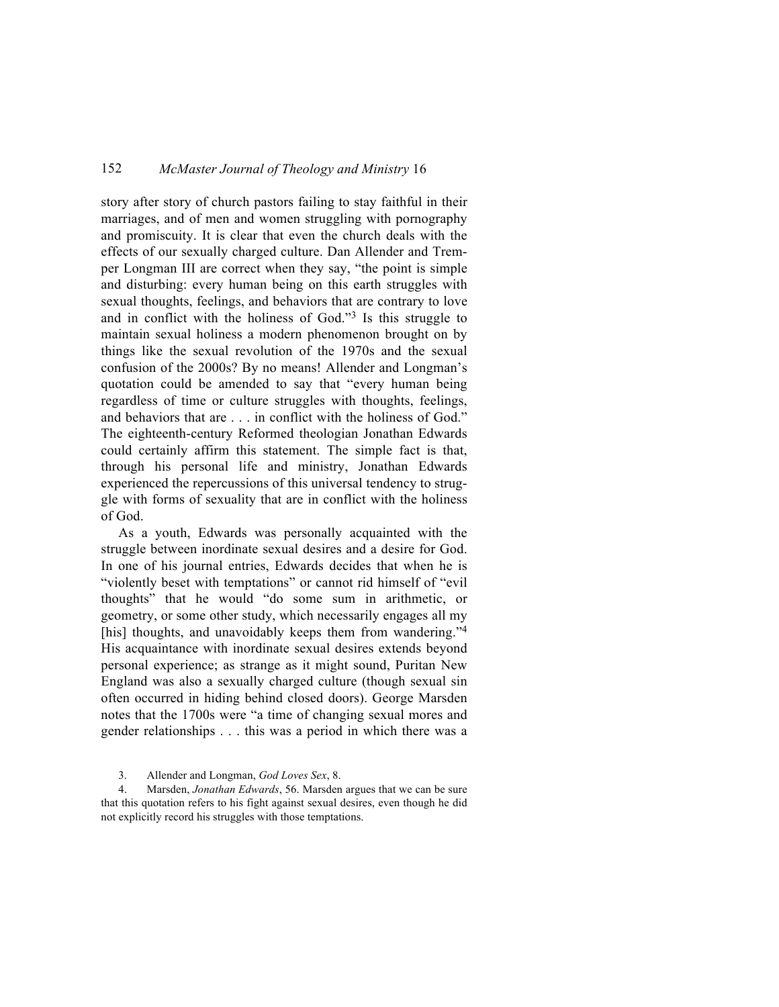story after story of church pastors failing to stay faithful in their marriages, and of men and women struggling with pornography and promiscuity. It is clear that even the church deals with the effects of our sexually charged culture. Dan Allender and Tremper Longman III are correct when they say, "the point is simple and disturbing: every human being on this earth struggles with sexual thoughts, feelings, and behaviors that are contrary to love and in conflict with the holiness of God."3 Is this struggle to maintain sexual holiness a modern phenomenon brought on by things like the sexual revolution of the 1970s and the sexual confusion of the 2000s? By no means! Allender and Longman's quotation could be amended to say that "every human being regardless of time or culture struggles with thoughts, feelings, and behaviors that are . . . in conflict with the holiness of God." The eighteenth-century Reformed theologian Jonathan Edwards could certainly affirm this statement. The simple fact is that, through his personal life and ministry, Jonathan Edwards experienced the repercussions of this universal tendency to struggle with forms of sexuality that are in conflict with the holiness of God.

As a youth, Edwards was personally acquainted with the struggle between inordinate sexual desires and a desire for God. In one of his journal entries, Edwards decides that when he is "violently beset with temptations" or cannot rid himself of "evil thoughts" that he would "do some sum in arithmetic, or geometry, or some other study, which necessarily engages all my [his] thoughts, and unavoidably keeps them from wandering."<sup>4</sup> His acquaintance with inordinate sexual desires extends beyond personal experience; as strange as it might sound, Puritan New England was also a sexually charged culture (though sexual sin often occurred in hiding behind closed doors). George Marsden notes that the 1700s were "a time of changing sexual mores and gender relationships . . . this was a period in which there was a

3. Allender and Longman, *God Loves Sex*, 8.

4. Marsden, *Jonathan Edwards*, 56. Marsden argues that we can be sure that this quotation refers to his fight against sexual desires, even though he did not explicitly record his struggles with those temptations.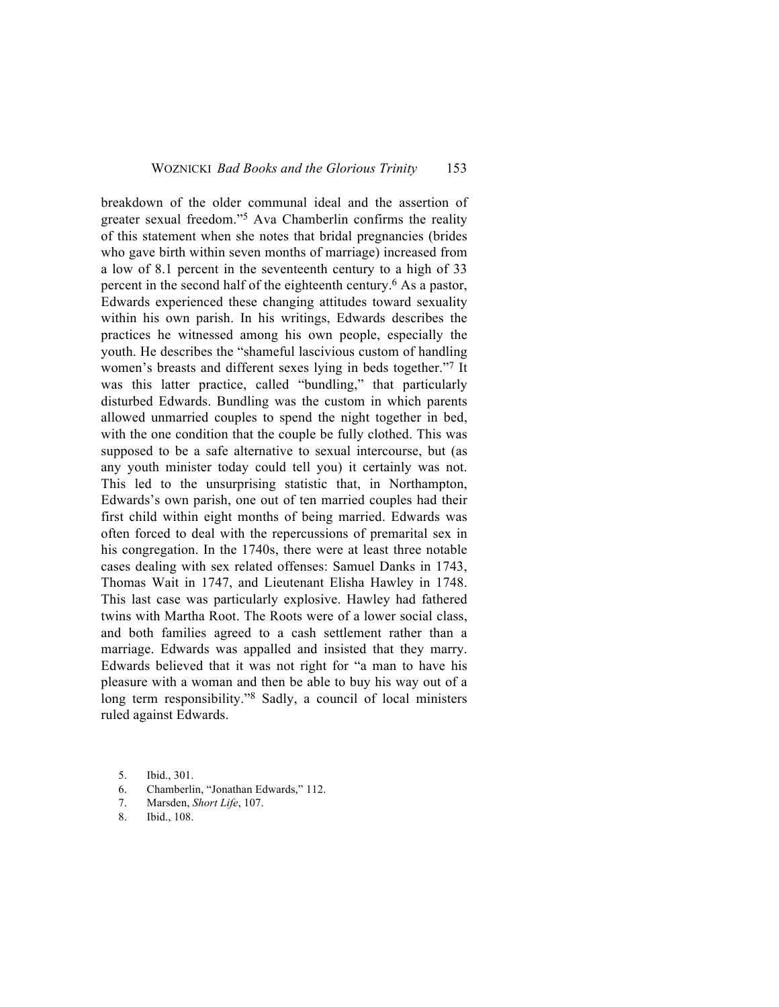breakdown of the older communal ideal and the assertion of greater sexual freedom."5 Ava Chamberlin confirms the reality of this statement when she notes that bridal pregnancies (brides who gave birth within seven months of marriage) increased from a low of 8.1 percent in the seventeenth century to a high of 33 percent in the second half of the eighteenth century.6 As a pastor, Edwards experienced these changing attitudes toward sexuality within his own parish. In his writings, Edwards describes the practices he witnessed among his own people, especially the youth. He describes the "shameful lascivious custom of handling women's breasts and different sexes lying in beds together."7 It was this latter practice, called "bundling," that particularly disturbed Edwards. Bundling was the custom in which parents allowed unmarried couples to spend the night together in bed, with the one condition that the couple be fully clothed. This was supposed to be a safe alternative to sexual intercourse, but (as any youth minister today could tell you) it certainly was not. This led to the unsurprising statistic that, in Northampton, Edwards's own parish, one out of ten married couples had their first child within eight months of being married. Edwards was often forced to deal with the repercussions of premarital sex in his congregation. In the 1740s, there were at least three notable cases dealing with sex related offenses: Samuel Danks in 1743, Thomas Wait in 1747, and Lieutenant Elisha Hawley in 1748. This last case was particularly explosive. Hawley had fathered twins with Martha Root. The Roots were of a lower social class, and both families agreed to a cash settlement rather than a marriage. Edwards was appalled and insisted that they marry. Edwards believed that it was not right for "a man to have his pleasure with a woman and then be able to buy his way out of a long term responsibility."8 Sadly, a council of local ministers ruled against Edwards.

- 6. Chamberlin, "Jonathan Edwards," 112.
- 7. Marsden, *Short Life*, 107.
- 8. Ibid., 108.

<sup>5.</sup> Ibid., 301.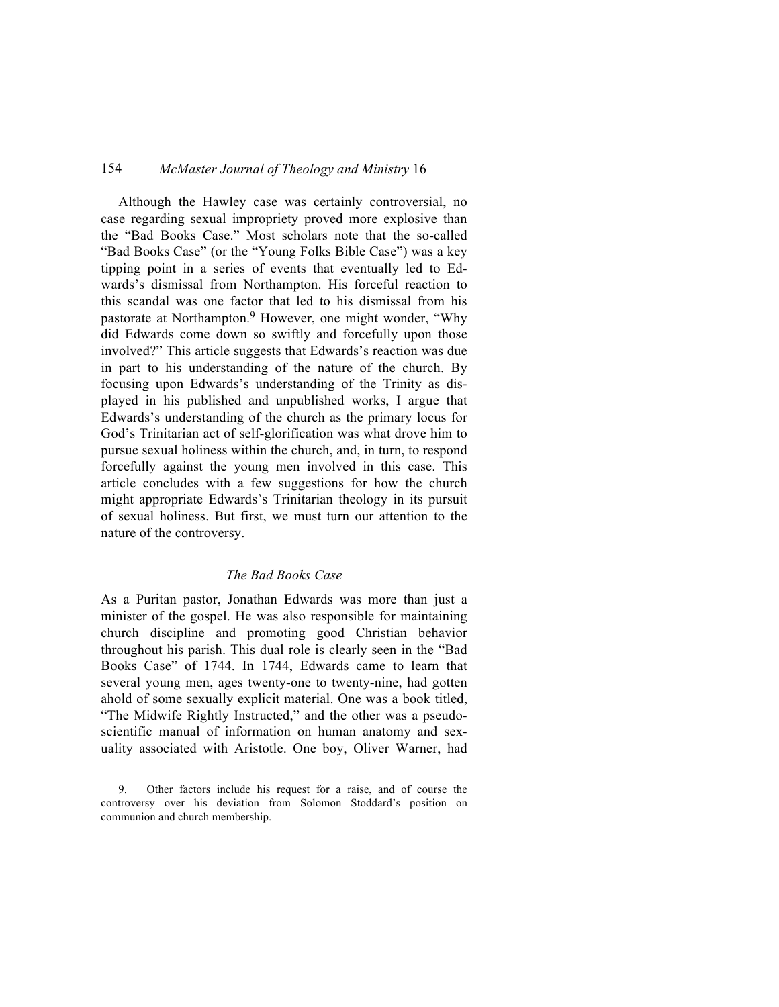Although the Hawley case was certainly controversial, no case regarding sexual impropriety proved more explosive than the "Bad Books Case." Most scholars note that the so-called "Bad Books Case" (or the "Young Folks Bible Case") was a key tipping point in a series of events that eventually led to Edwards's dismissal from Northampton. His forceful reaction to this scandal was one factor that led to his dismissal from his pastorate at Northampton.<sup>9</sup> However, one might wonder, "Why did Edwards come down so swiftly and forcefully upon those involved?" This article suggests that Edwards's reaction was due in part to his understanding of the nature of the church. By focusing upon Edwards's understanding of the Trinity as displayed in his published and unpublished works, I argue that Edwards's understanding of the church as the primary locus for God's Trinitarian act of self-glorification was what drove him to pursue sexual holiness within the church, and, in turn, to respond forcefully against the young men involved in this case. This article concludes with a few suggestions for how the church might appropriate Edwards's Trinitarian theology in its pursuit of sexual holiness. But first, we must turn our attention to the nature of the controversy.

### *The Bad Books Case*

As a Puritan pastor, Jonathan Edwards was more than just a minister of the gospel. He was also responsible for maintaining church discipline and promoting good Christian behavior throughout his parish. This dual role is clearly seen in the "Bad Books Case" of 1744. In 1744, Edwards came to learn that several young men, ages twenty-one to twenty-nine, had gotten ahold of some sexually explicit material. One was a book titled, "The Midwife Rightly Instructed," and the other was a pseudoscientific manual of information on human anatomy and sexuality associated with Aristotle. One boy, Oliver Warner, had

<sup>9.</sup> Other factors include his request for a raise, and of course the controversy over his deviation from Solomon Stoddard's position on communion and church membership.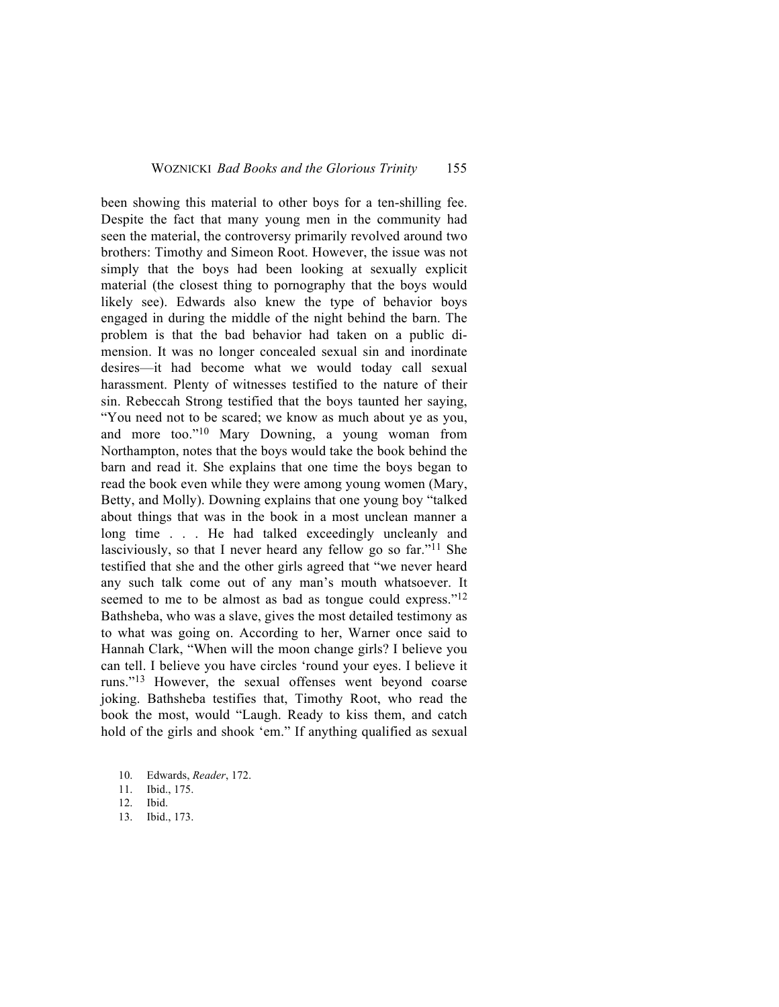been showing this material to other boys for a ten-shilling fee. Despite the fact that many young men in the community had seen the material, the controversy primarily revolved around two brothers: Timothy and Simeon Root. However, the issue was not simply that the boys had been looking at sexually explicit material (the closest thing to pornography that the boys would likely see). Edwards also knew the type of behavior boys engaged in during the middle of the night behind the barn. The problem is that the bad behavior had taken on a public dimension. It was no longer concealed sexual sin and inordinate desires—it had become what we would today call sexual harassment. Plenty of witnesses testified to the nature of their sin. Rebeccah Strong testified that the boys taunted her saying, "You need not to be scared; we know as much about ye as you, and more too."10 Mary Downing, a young woman from Northampton, notes that the boys would take the book behind the barn and read it. She explains that one time the boys began to read the book even while they were among young women (Mary, Betty, and Molly). Downing explains that one young boy "talked about things that was in the book in a most unclean manner a long time . . . He had talked exceedingly uncleanly and lasciviously, so that I never heard any fellow go so far."<sup>11</sup> She testified that she and the other girls agreed that "we never heard any such talk come out of any man's mouth whatsoever. It seemed to me to be almost as bad as tongue could express."<sup>12</sup> Bathsheba, who was a slave, gives the most detailed testimony as to what was going on. According to her, Warner once said to Hannah Clark, "When will the moon change girls? I believe you can tell. I believe you have circles 'round your eyes. I believe it runs."13 However, the sexual offenses went beyond coarse joking. Bathsheba testifies that, Timothy Root, who read the book the most, would "Laugh. Ready to kiss them, and catch hold of the girls and shook 'em." If anything qualified as sexual

13. Ibid., 173.

<sup>10.</sup> Edwards, *Reader*, 172.

<sup>11.</sup> Ibid., 175.

<sup>12.</sup> Ibid.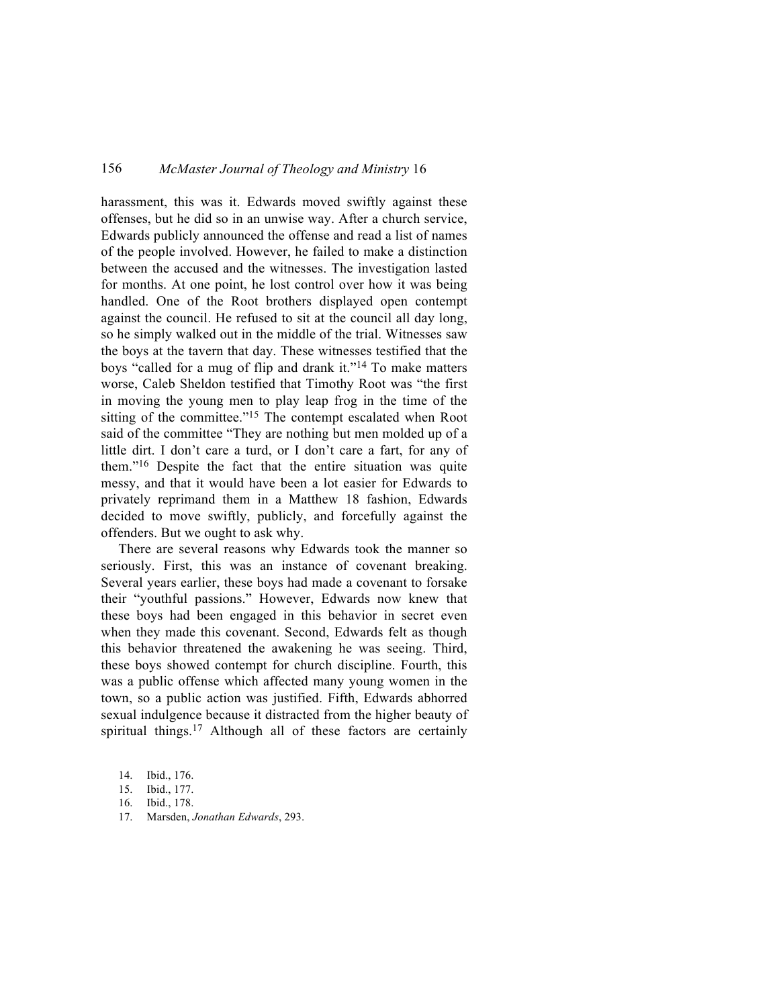harassment, this was it. Edwards moved swiftly against these offenses, but he did so in an unwise way. After a church service, Edwards publicly announced the offense and read a list of names of the people involved. However, he failed to make a distinction between the accused and the witnesses. The investigation lasted for months. At one point, he lost control over how it was being handled. One of the Root brothers displayed open contempt against the council. He refused to sit at the council all day long, so he simply walked out in the middle of the trial. Witnesses saw the boys at the tavern that day. These witnesses testified that the boys "called for a mug of flip and drank it."14 To make matters worse, Caleb Sheldon testified that Timothy Root was "the first in moving the young men to play leap frog in the time of the sitting of the committee."<sup>15</sup> The contempt escalated when Root said of the committee "They are nothing but men molded up of a little dirt. I don't care a turd, or I don't care a fart, for any of them."16 Despite the fact that the entire situation was quite messy, and that it would have been a lot easier for Edwards to privately reprimand them in a Matthew 18 fashion, Edwards decided to move swiftly, publicly, and forcefully against the offenders. But we ought to ask why.

There are several reasons why Edwards took the manner so seriously. First, this was an instance of covenant breaking. Several years earlier, these boys had made a covenant to forsake their "youthful passions." However, Edwards now knew that these boys had been engaged in this behavior in secret even when they made this covenant. Second, Edwards felt as though this behavior threatened the awakening he was seeing. Third, these boys showed contempt for church discipline. Fourth, this was a public offense which affected many young women in the town, so a public action was justified. Fifth, Edwards abhorred sexual indulgence because it distracted from the higher beauty of spiritual things.<sup>17</sup> Although all of these factors are certainly

17. Marsden, *Jonathan Edwards*, 293.

<sup>14.</sup> Ibid., 176.

<sup>15.</sup> Ibid., 177.

<sup>16.</sup> Ibid., 178.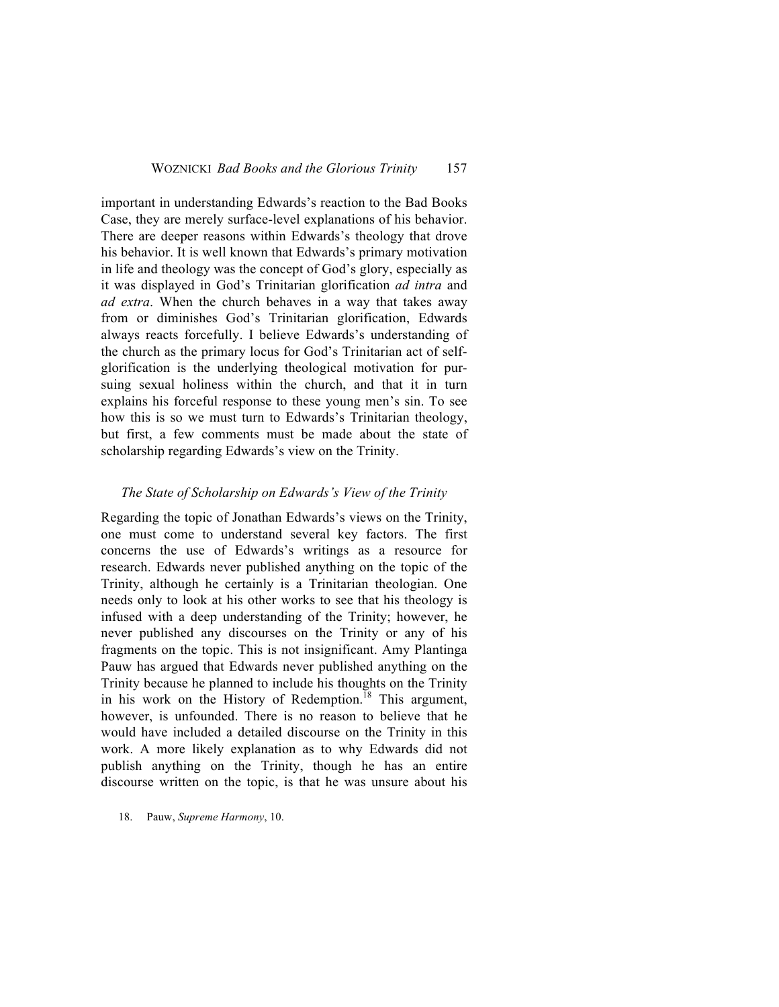important in understanding Edwards's reaction to the Bad Books Case, they are merely surface-level explanations of his behavior. There are deeper reasons within Edwards's theology that drove his behavior. It is well known that Edwards's primary motivation in life and theology was the concept of God's glory, especially as it was displayed in God's Trinitarian glorification *ad intra* and *ad extra*. When the church behaves in a way that takes away from or diminishes God's Trinitarian glorification, Edwards always reacts forcefully. I believe Edwards's understanding of the church as the primary locus for God's Trinitarian act of selfglorification is the underlying theological motivation for pursuing sexual holiness within the church, and that it in turn explains his forceful response to these young men's sin. To see how this is so we must turn to Edwards's Trinitarian theology, but first, a few comments must be made about the state of scholarship regarding Edwards's view on the Trinity.

#### *The State of Scholarship on Edwards's View of the Trinity*

Regarding the topic of Jonathan Edwards's views on the Trinity, one must come to understand several key factors. The first concerns the use of Edwards's writings as a resource for research. Edwards never published anything on the topic of the Trinity, although he certainly is a Trinitarian theologian. One needs only to look at his other works to see that his theology is infused with a deep understanding of the Trinity; however, he never published any discourses on the Trinity or any of his fragments on the topic. This is not insignificant. Amy Plantinga Pauw has argued that Edwards never published anything on the Trinity because he planned to include his thoughts on the Trinity in his work on the History of Redemption.<sup>18</sup> This argument, however, is unfounded. There is no reason to believe that he would have included a detailed discourse on the Trinity in this work. A more likely explanation as to why Edwards did not publish anything on the Trinity, though he has an entire discourse written on the topic, is that he was unsure about his

18. Pauw, *Supreme Harmony*, 10.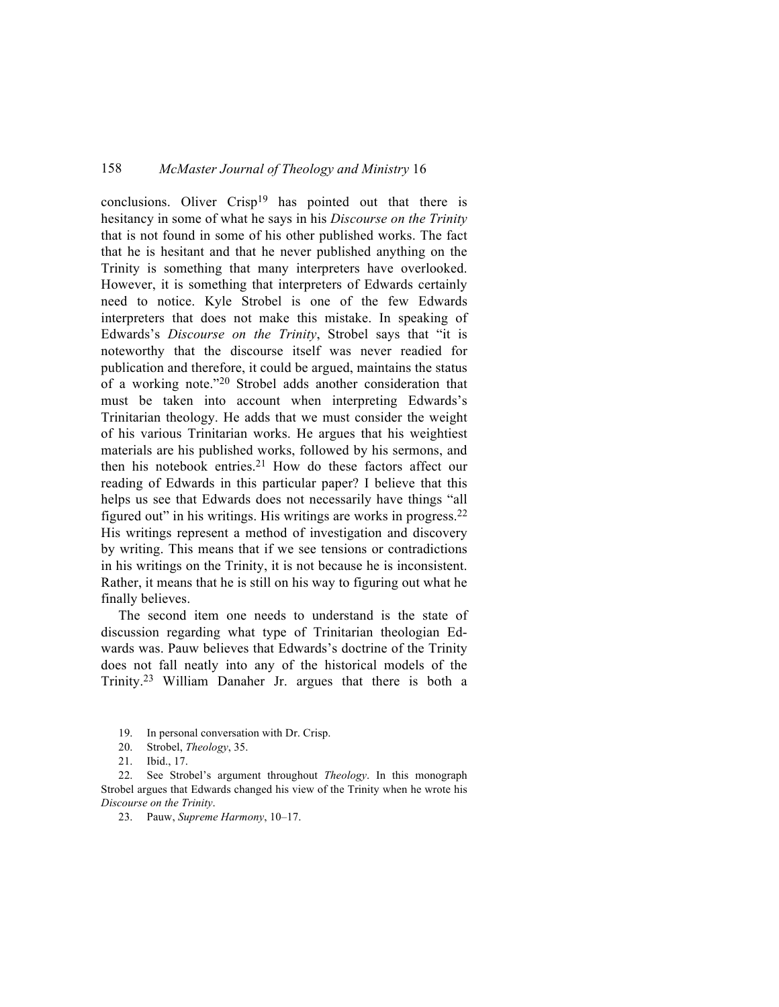conclusions. Oliver Crisp<sup>19</sup> has pointed out that there is hesitancy in some of what he says in his *Discourse on the Trinity* that is not found in some of his other published works. The fact that he is hesitant and that he never published anything on the Trinity is something that many interpreters have overlooked. However, it is something that interpreters of Edwards certainly need to notice. Kyle Strobel is one of the few Edwards interpreters that does not make this mistake. In speaking of Edwards's *Discourse on the Trinity*, Strobel says that "it is noteworthy that the discourse itself was never readied for publication and therefore, it could be argued, maintains the status of a working note."20 Strobel adds another consideration that must be taken into account when interpreting Edwards's Trinitarian theology. He adds that we must consider the weight of his various Trinitarian works. He argues that his weightiest materials are his published works, followed by his sermons, and then his notebook entries.21 How do these factors affect our reading of Edwards in this particular paper? I believe that this helps us see that Edwards does not necessarily have things "all figured out" in his writings. His writings are works in progress.22 His writings represent a method of investigation and discovery by writing. This means that if we see tensions or contradictions in his writings on the Trinity, it is not because he is inconsistent. Rather, it means that he is still on his way to figuring out what he finally believes.

The second item one needs to understand is the state of discussion regarding what type of Trinitarian theologian Edwards was. Pauw believes that Edwards's doctrine of the Trinity does not fall neatly into any of the historical models of the Trinity.23 William Danaher Jr. argues that there is both a

- 19. In personal conversation with Dr. Crisp.
- 20. Strobel, *Theology*, 35.
- 21. Ibid., 17.

22. See Strobel's argument throughout *Theology*. In this monograph Strobel argues that Edwards changed his view of the Trinity when he wrote his *Discourse on the Trinity*.

23. Pauw, *Supreme Harmony*, 10–17.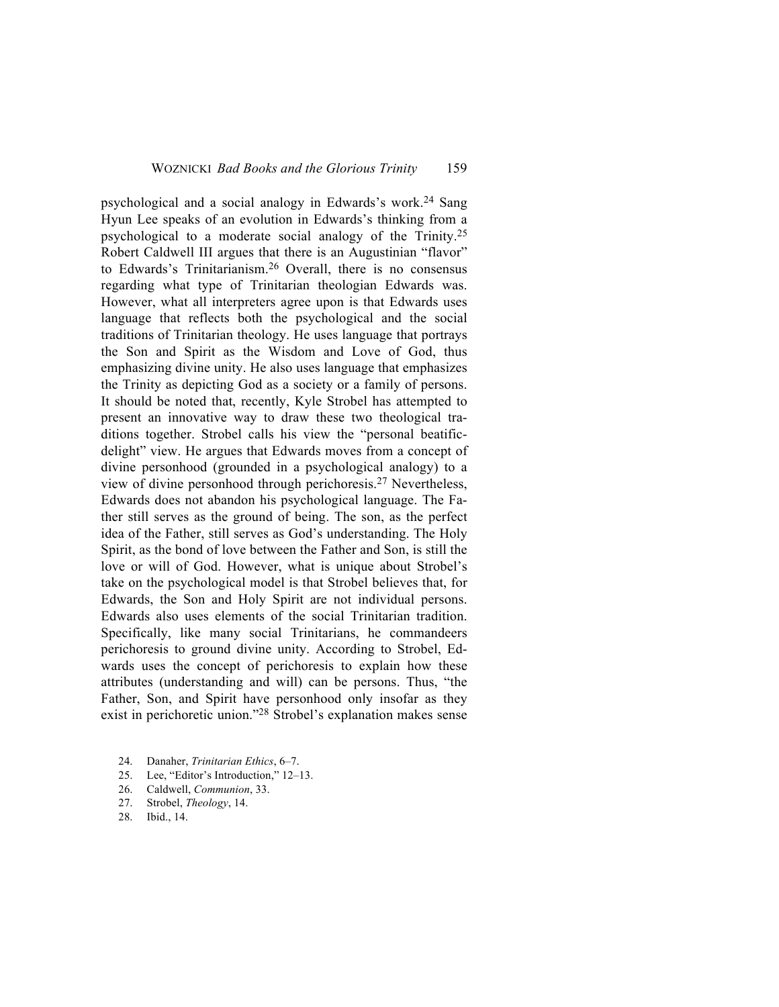psychological and a social analogy in Edwards's work.<sup>24</sup> Sang Hyun Lee speaks of an evolution in Edwards's thinking from a psychological to a moderate social analogy of the Trinity.25 Robert Caldwell III argues that there is an Augustinian "flavor" to Edwards's Trinitarianism.26 Overall, there is no consensus regarding what type of Trinitarian theologian Edwards was. However, what all interpreters agree upon is that Edwards uses language that reflects both the psychological and the social traditions of Trinitarian theology. He uses language that portrays the Son and Spirit as the Wisdom and Love of God, thus emphasizing divine unity. He also uses language that emphasizes the Trinity as depicting God as a society or a family of persons. It should be noted that, recently, Kyle Strobel has attempted to present an innovative way to draw these two theological traditions together. Strobel calls his view the "personal beatificdelight" view. He argues that Edwards moves from a concept of divine personhood (grounded in a psychological analogy) to a view of divine personhood through perichoresis.27 Nevertheless, Edwards does not abandon his psychological language. The Father still serves as the ground of being. The son, as the perfect idea of the Father, still serves as God's understanding. The Holy Spirit, as the bond of love between the Father and Son, is still the love or will of God. However, what is unique about Strobel's take on the psychological model is that Strobel believes that, for Edwards, the Son and Holy Spirit are not individual persons. Edwards also uses elements of the social Trinitarian tradition. Specifically, like many social Trinitarians, he commandeers perichoresis to ground divine unity. According to Strobel, Edwards uses the concept of perichoresis to explain how these attributes (understanding and will) can be persons. Thus, "the Father, Son, and Spirit have personhood only insofar as they exist in perichoretic union."28 Strobel's explanation makes sense

- 24. Danaher, *Trinitarian Ethics*, 6–7.
- 25. Lee, "Editor's Introduction," 12–13.
- 26. Caldwell, *Communion*, 33.
- 27. Strobel, *Theology*, 14.
- 28. Ibid., 14.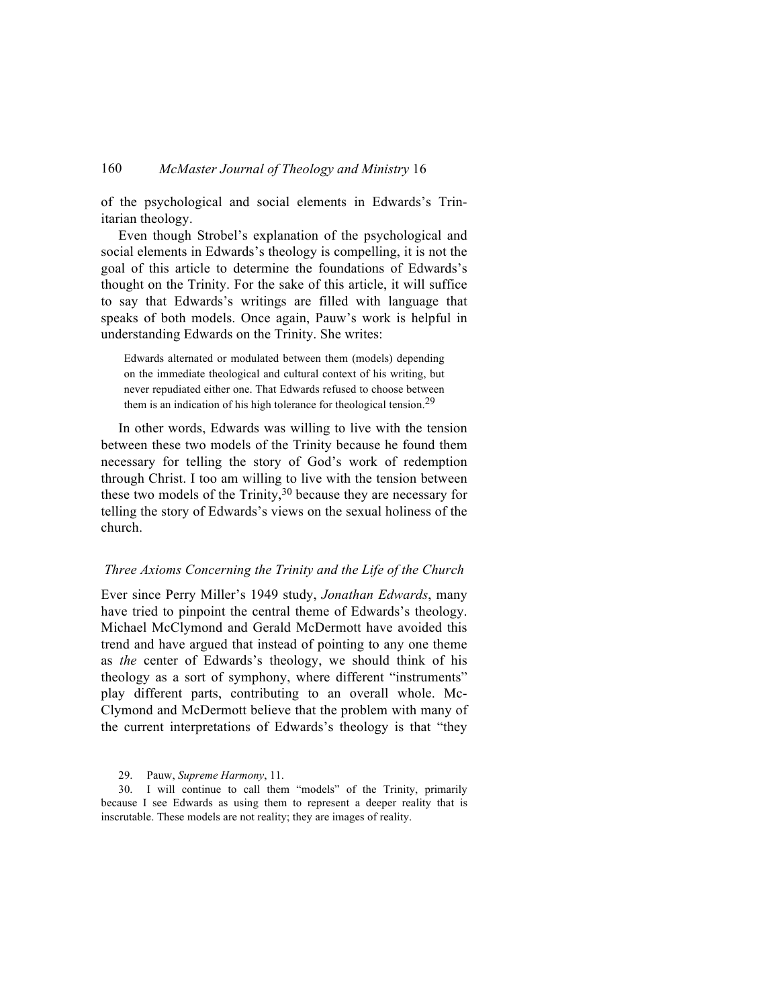of the psychological and social elements in Edwards's Trinitarian theology.

Even though Strobel's explanation of the psychological and social elements in Edwards's theology is compelling, it is not the goal of this article to determine the foundations of Edwards's thought on the Trinity. For the sake of this article, it will suffice to say that Edwards's writings are filled with language that speaks of both models. Once again, Pauw's work is helpful in understanding Edwards on the Trinity. She writes:

Edwards alternated or modulated between them (models) depending on the immediate theological and cultural context of his writing, but never repudiated either one. That Edwards refused to choose between them is an indication of his high tolerance for theological tension.<sup>29</sup>

In other words, Edwards was willing to live with the tension between these two models of the Trinity because he found them necessary for telling the story of God's work of redemption through Christ. I too am willing to live with the tension between these two models of the Trinity, <sup>30</sup> because they are necessary for telling the story of Edwards's views on the sexual holiness of the church.

#### *Three Axioms Concerning the Trinity and the Life of the Church*

Ever since Perry Miller's 1949 study, *Jonathan Edwards*, many have tried to pinpoint the central theme of Edwards's theology. Michael McClymond and Gerald McDermott have avoided this trend and have argued that instead of pointing to any one theme as *the* center of Edwards's theology, we should think of his theology as a sort of symphony, where different "instruments" play different parts, contributing to an overall whole. Mc-Clymond and McDermott believe that the problem with many of the current interpretations of Edwards's theology is that "they

29. Pauw, *Supreme Harmony*, 11.

30. I will continue to call them "models" of the Trinity, primarily because I see Edwards as using them to represent a deeper reality that is inscrutable. These models are not reality; they are images of reality.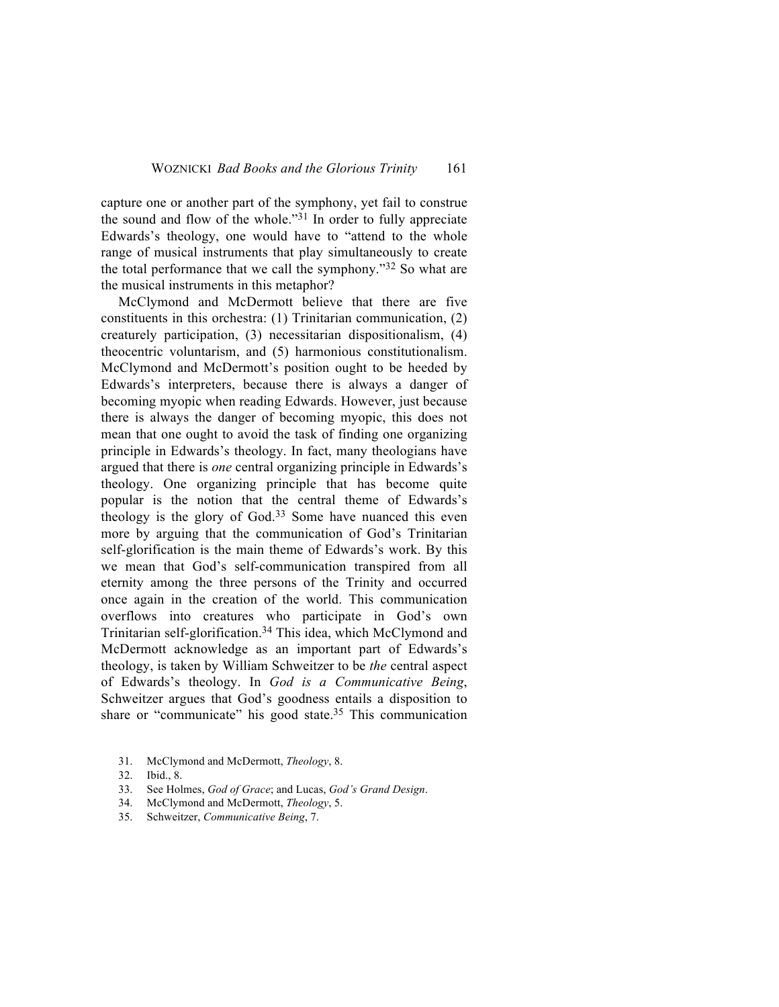capture one or another part of the symphony, yet fail to construe the sound and flow of the whole."31 In order to fully appreciate Edwards's theology, one would have to "attend to the whole range of musical instruments that play simultaneously to create the total performance that we call the symphony."32 So what are the musical instruments in this metaphor?

McClymond and McDermott believe that there are five constituents in this orchestra: (1) Trinitarian communication, (2) creaturely participation, (3) necessitarian dispositionalism, (4) theocentric voluntarism, and (5) harmonious constitutionalism. McClymond and McDermott's position ought to be heeded by Edwards's interpreters, because there is always a danger of becoming myopic when reading Edwards. However, just because there is always the danger of becoming myopic, this does not mean that one ought to avoid the task of finding one organizing principle in Edwards's theology. In fact, many theologians have argued that there is *one* central organizing principle in Edwards's theology. One organizing principle that has become quite popular is the notion that the central theme of Edwards's theology is the glory of God.<sup>33</sup> Some have nuanced this even more by arguing that the communication of God's Trinitarian self-glorification is the main theme of Edwards's work. By this we mean that God's self-communication transpired from all eternity among the three persons of the Trinity and occurred once again in the creation of the world. This communication overflows into creatures who participate in God's own Trinitarian self-glorification.34 This idea, which McClymond and McDermott acknowledge as an important part of Edwards's theology, is taken by William Schweitzer to be *the* central aspect of Edwards's theology. In *God is a Communicative Being*, Schweitzer argues that God's goodness entails a disposition to share or "communicate" his good state.35 This communication

- 34. McClymond and McDermott, *Theology*, 5.
- 35. Schweitzer, *Communicative Being*, 7.

<sup>31.</sup> McClymond and McDermott, *Theology*, 8.

<sup>32.</sup> Ibid., 8.

<sup>33.</sup> See Holmes, *God of Grace*; and Lucas, *God's Grand Design*.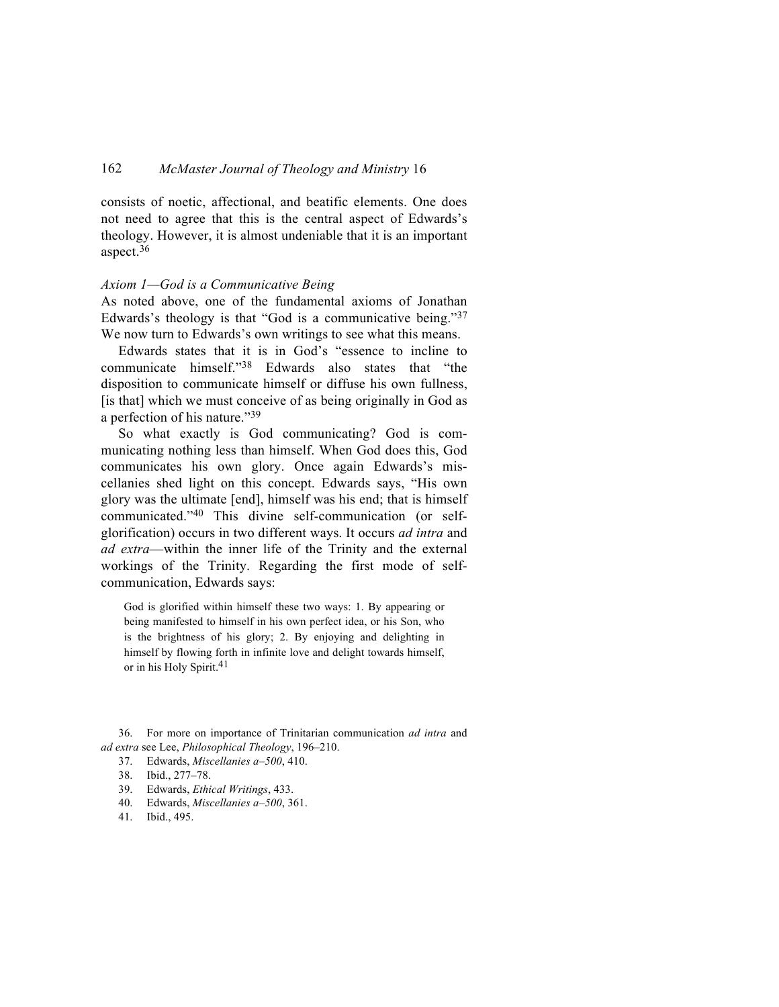consists of noetic, affectional, and beatific elements. One does not need to agree that this is the central aspect of Edwards's theology. However, it is almost undeniable that it is an important aspect.36

#### *Axiom 1—God is a Communicative Being*

As noted above, one of the fundamental axioms of Jonathan Edwards's theology is that "God is a communicative being."37 We now turn to Edwards's own writings to see what this means.

Edwards states that it is in God's "essence to incline to communicate himself."38 Edwards also states that "the disposition to communicate himself or diffuse his own fullness, [is that] which we must conceive of as being originally in God as a perfection of his nature."39

So what exactly is God communicating? God is communicating nothing less than himself. When God does this, God communicates his own glory. Once again Edwards's miscellanies shed light on this concept. Edwards says, "His own glory was the ultimate [end], himself was his end; that is himself communicated."40 This divine self-communication (or selfglorification) occurs in two different ways. It occurs *ad intra* and *ad extra*—within the inner life of the Trinity and the external workings of the Trinity. Regarding the first mode of selfcommunication, Edwards says:

God is glorified within himself these two ways: 1. By appearing or being manifested to himself in his own perfect idea, or his Son, who is the brightness of his glory; 2. By enjoying and delighting in himself by flowing forth in infinite love and delight towards himself, or in his Holy Spirit.<sup>41</sup>

36. For more on importance of Trinitarian communication *ad intra* and *ad extra* see Lee, *Philosophical Theology*, 196–210.

- 37. Edwards, *Miscellanies a–500*, 410.
- 38. Ibid., 277–78.
- 39. Edwards, *Ethical Writings*, 433.
- 40. Edwards, *Miscellanies a–500*, 361.
- 41. Ibid., 495.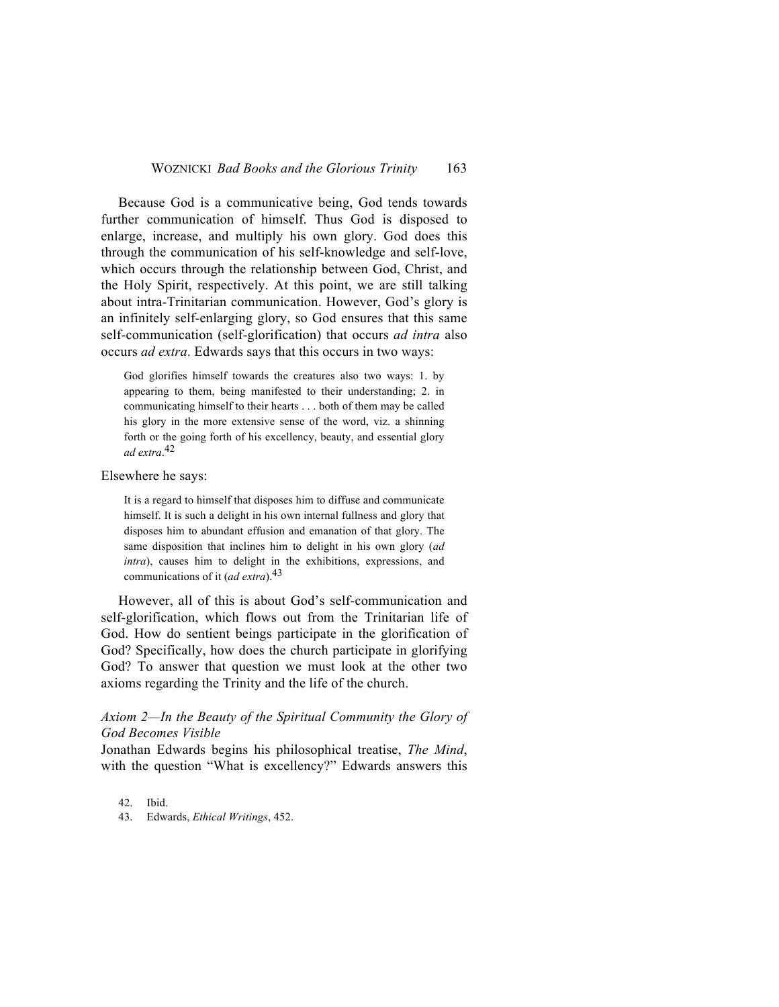Because God is a communicative being, God tends towards further communication of himself. Thus God is disposed to enlarge, increase, and multiply his own glory. God does this through the communication of his self-knowledge and self-love, which occurs through the relationship between God, Christ, and the Holy Spirit, respectively. At this point, we are still talking about intra-Trinitarian communication. However, God's glory is an infinitely self-enlarging glory, so God ensures that this same self-communication (self-glorification) that occurs *ad intra* also occurs *ad extra*. Edwards says that this occurs in two ways:

God glorifies himself towards the creatures also two ways: 1. by appearing to them, being manifested to their understanding; 2. in communicating himself to their hearts . . . both of them may be called his glory in the more extensive sense of the word, viz. a shinning forth or the going forth of his excellency, beauty, and essential glory *ad extra*. 42

Elsewhere he says:

It is a regard to himself that disposes him to diffuse and communicate himself. It is such a delight in his own internal fullness and glory that disposes him to abundant effusion and emanation of that glory. The same disposition that inclines him to delight in his own glory (*ad intra*), causes him to delight in the exhibitions, expressions, and communications of it (*ad extra*).43

However, all of this is about God's self-communication and self-glorification, which flows out from the Trinitarian life of God. How do sentient beings participate in the glorification of God? Specifically, how does the church participate in glorifying God? To answer that question we must look at the other two axioms regarding the Trinity and the life of the church.

# *Axiom 2—In the Beauty of the Spiritual Community the Glory of God Becomes Visible*

Jonathan Edwards begins his philosophical treatise, *The Mind*, with the question "What is excellency?" Edwards answers this

42. Ibid.

43. Edwards, *Ethical Writings*, 452.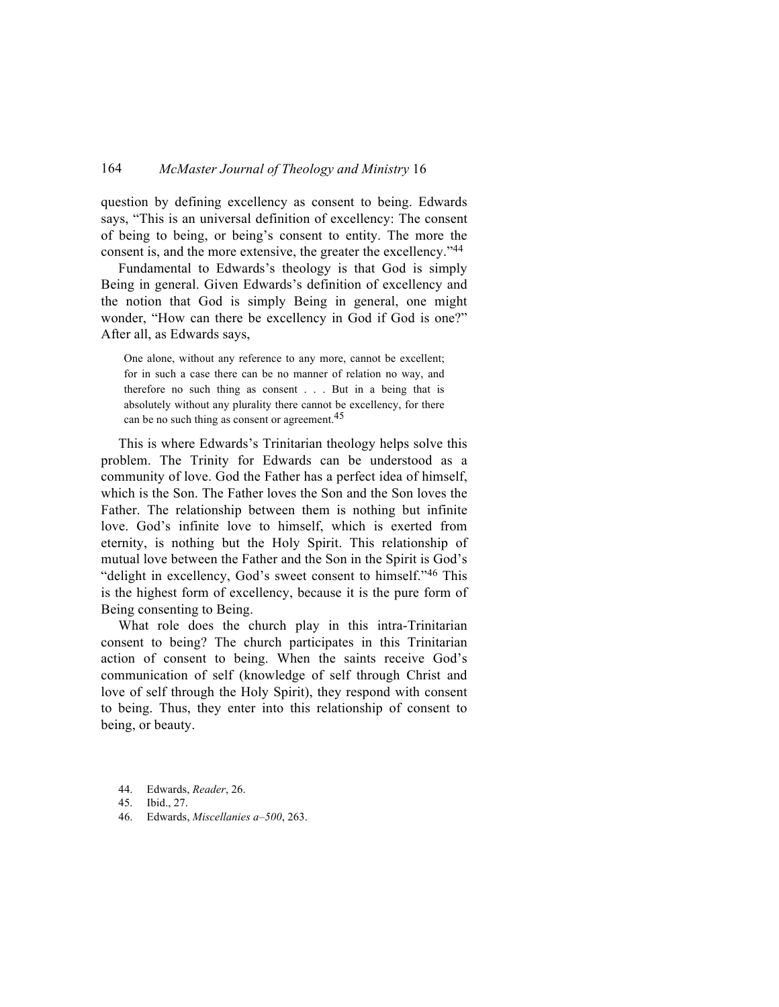question by defining excellency as consent to being. Edwards says, "This is an universal definition of excellency: The consent of being to being, or being's consent to entity. The more the consent is, and the more extensive, the greater the excellency."44

Fundamental to Edwards's theology is that God is simply Being in general. Given Edwards's definition of excellency and the notion that God is simply Being in general, one might wonder, "How can there be excellency in God if God is one?" After all, as Edwards says,

One alone, without any reference to any more, cannot be excellent; for in such a case there can be no manner of relation no way, and therefore no such thing as consent . . . But in a being that is absolutely without any plurality there cannot be excellency, for there can be no such thing as consent or agreement.<sup>45</sup>

This is where Edwards's Trinitarian theology helps solve this problem. The Trinity for Edwards can be understood as a community of love. God the Father has a perfect idea of himself, which is the Son. The Father loves the Son and the Son loves the Father. The relationship between them is nothing but infinite love. God's infinite love to himself, which is exerted from eternity, is nothing but the Holy Spirit. This relationship of mutual love between the Father and the Son in the Spirit is God's "delight in excellency, God's sweet consent to himself."46 This is the highest form of excellency, because it is the pure form of Being consenting to Being.

What role does the church play in this intra-Trinitarian consent to being? The church participates in this Trinitarian action of consent to being. When the saints receive God's communication of self (knowledge of self through Christ and love of self through the Holy Spirit), they respond with consent to being. Thus, they enter into this relationship of consent to being, or beauty.

- 44. Edwards, *Reader*, 26.
- 45. Ibid., 27.
- 46. Edwards, *Miscellanies a–500*, 263.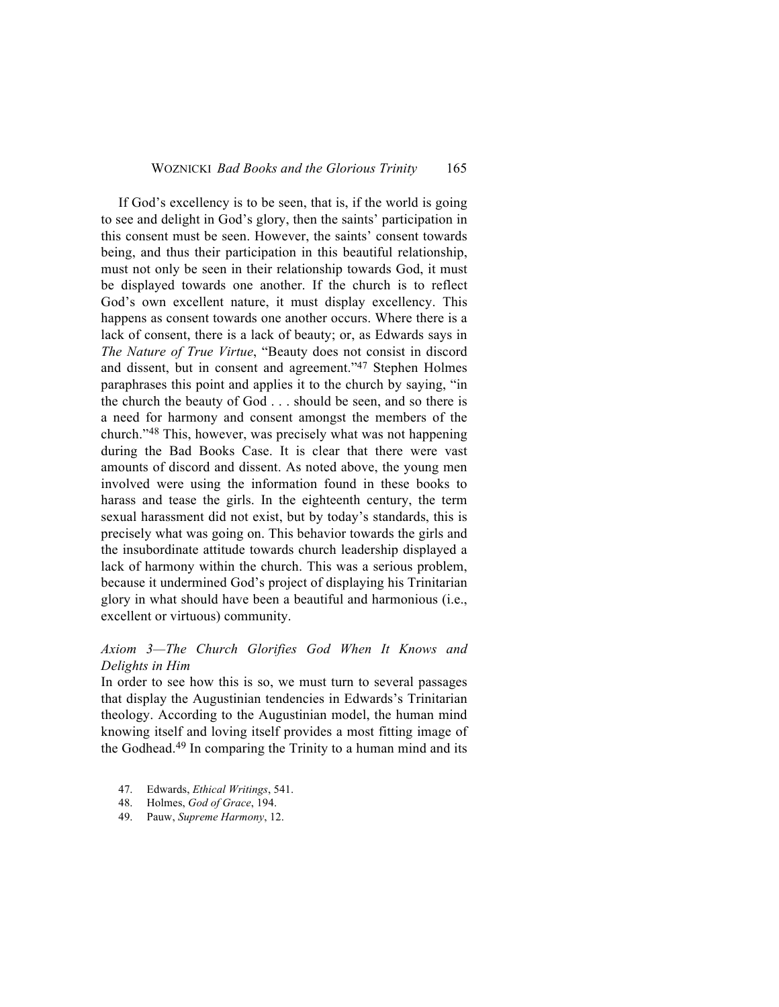If God's excellency is to be seen, that is, if the world is going to see and delight in God's glory, then the saints' participation in this consent must be seen. However, the saints' consent towards being, and thus their participation in this beautiful relationship, must not only be seen in their relationship towards God, it must be displayed towards one another. If the church is to reflect God's own excellent nature, it must display excellency. This happens as consent towards one another occurs. Where there is a lack of consent, there is a lack of beauty; or, as Edwards says in *The Nature of True Virtue*, "Beauty does not consist in discord and dissent, but in consent and agreement."47 Stephen Holmes paraphrases this point and applies it to the church by saying, "in the church the beauty of God . . . should be seen, and so there is a need for harmony and consent amongst the members of the church."48 This, however, was precisely what was not happening during the Bad Books Case. It is clear that there were vast amounts of discord and dissent. As noted above, the young men involved were using the information found in these books to harass and tease the girls. In the eighteenth century, the term sexual harassment did not exist, but by today's standards, this is precisely what was going on. This behavior towards the girls and the insubordinate attitude towards church leadership displayed a lack of harmony within the church. This was a serious problem, because it undermined God's project of displaying his Trinitarian glory in what should have been a beautiful and harmonious (i.e., excellent or virtuous) community.

# *Axiom 3—The Church Glorifies God When It Knows and Delights in Him*

In order to see how this is so, we must turn to several passages that display the Augustinian tendencies in Edwards's Trinitarian theology. According to the Augustinian model, the human mind knowing itself and loving itself provides a most fitting image of the Godhead.49 In comparing the Trinity to a human mind and its

- 47. Edwards, *Ethical Writings*, 541.
- 48. Holmes, *God of Grace*, 194.
- 49. Pauw, *Supreme Harmony*, 12.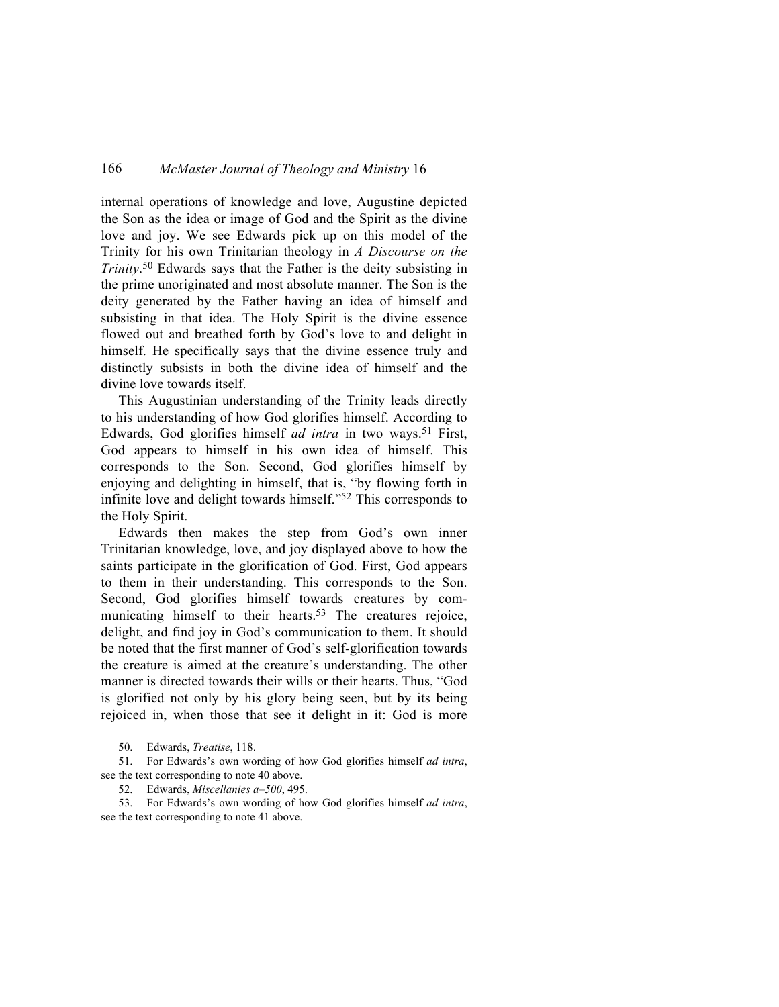internal operations of knowledge and love, Augustine depicted the Son as the idea or image of God and the Spirit as the divine love and joy. We see Edwards pick up on this model of the Trinity for his own Trinitarian theology in *A Discourse on the Trinity*. <sup>50</sup> Edwards says that the Father is the deity subsisting in the prime unoriginated and most absolute manner. The Son is the deity generated by the Father having an idea of himself and subsisting in that idea. The Holy Spirit is the divine essence flowed out and breathed forth by God's love to and delight in himself. He specifically says that the divine essence truly and distinctly subsists in both the divine idea of himself and the divine love towards itself.

This Augustinian understanding of the Trinity leads directly to his understanding of how God glorifies himself. According to Edwards, God glorifies himself *ad intra* in two ways.<sup>51</sup> First, God appears to himself in his own idea of himself. This corresponds to the Son. Second, God glorifies himself by enjoying and delighting in himself, that is, "by flowing forth in infinite love and delight towards himself."52 This corresponds to the Holy Spirit.

Edwards then makes the step from God's own inner Trinitarian knowledge, love, and joy displayed above to how the saints participate in the glorification of God. First, God appears to them in their understanding. This corresponds to the Son. Second, God glorifies himself towards creatures by communicating himself to their hearts.<sup>53</sup> The creatures rejoice, delight, and find joy in God's communication to them. It should be noted that the first manner of God's self-glorification towards the creature is aimed at the creature's understanding. The other manner is directed towards their wills or their hearts. Thus, "God is glorified not only by his glory being seen, but by its being rejoiced in, when those that see it delight in it: God is more

50. Edwards, *Treatise*, 118.

51. For Edwards's own wording of how God glorifies himself *ad intra*, see the text corresponding to note 40 above.

52. Edwards, *Miscellanies a–500*, 495.

53. For Edwards's own wording of how God glorifies himself *ad intra*, see the text corresponding to note 41 above.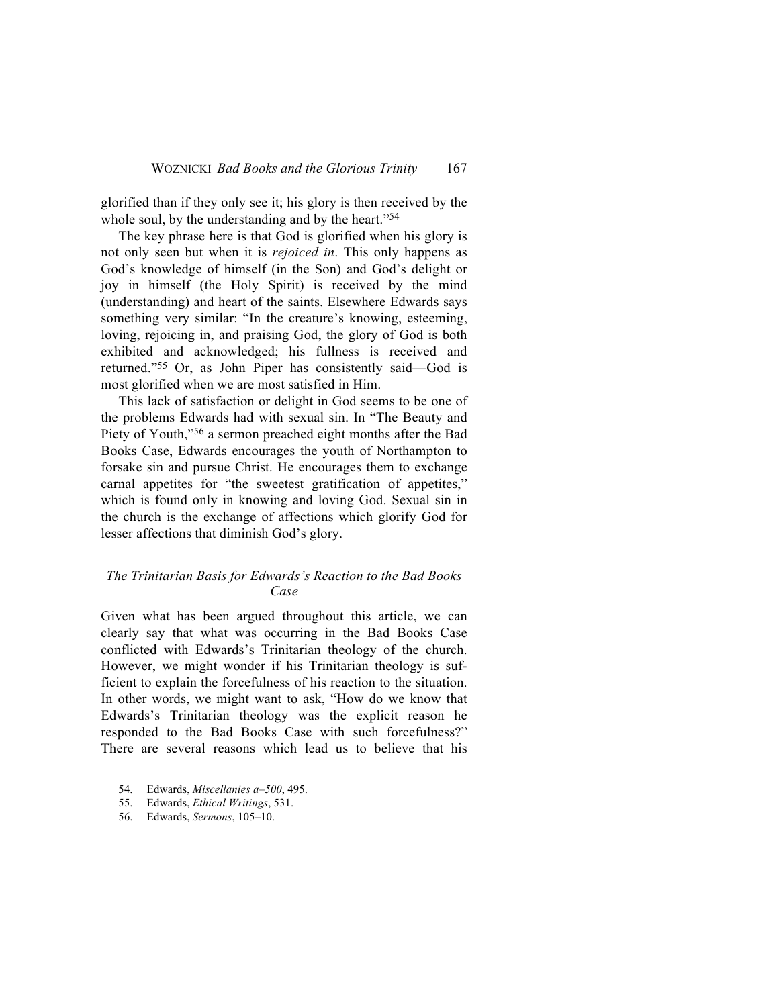glorified than if they only see it; his glory is then received by the whole soul, by the understanding and by the heart."<sup>54</sup>

The key phrase here is that God is glorified when his glory is not only seen but when it is *rejoiced in*. This only happens as God's knowledge of himself (in the Son) and God's delight or joy in himself (the Holy Spirit) is received by the mind (understanding) and heart of the saints. Elsewhere Edwards says something very similar: "In the creature's knowing, esteeming, loving, rejoicing in, and praising God, the glory of God is both exhibited and acknowledged; his fullness is received and returned."55 Or, as John Piper has consistently said—God is most glorified when we are most satisfied in Him.

This lack of satisfaction or delight in God seems to be one of the problems Edwards had with sexual sin. In "The Beauty and Piety of Youth,"56 a sermon preached eight months after the Bad Books Case, Edwards encourages the youth of Northampton to forsake sin and pursue Christ. He encourages them to exchange carnal appetites for "the sweetest gratification of appetites," which is found only in knowing and loving God. Sexual sin in the church is the exchange of affections which glorify God for lesser affections that diminish God's glory.

## *The Trinitarian Basis for Edwards's Reaction to the Bad Books Case*

Given what has been argued throughout this article, we can clearly say that what was occurring in the Bad Books Case conflicted with Edwards's Trinitarian theology of the church. However, we might wonder if his Trinitarian theology is sufficient to explain the forcefulness of his reaction to the situation. In other words, we might want to ask, "How do we know that Edwards's Trinitarian theology was the explicit reason he responded to the Bad Books Case with such forcefulness?" There are several reasons which lead us to believe that his

- 54. Edwards, *Miscellanies a–500*, 495.
- 55. Edwards, *Ethical Writings*, 531.
- 56. Edwards, *Sermons*, 105–10.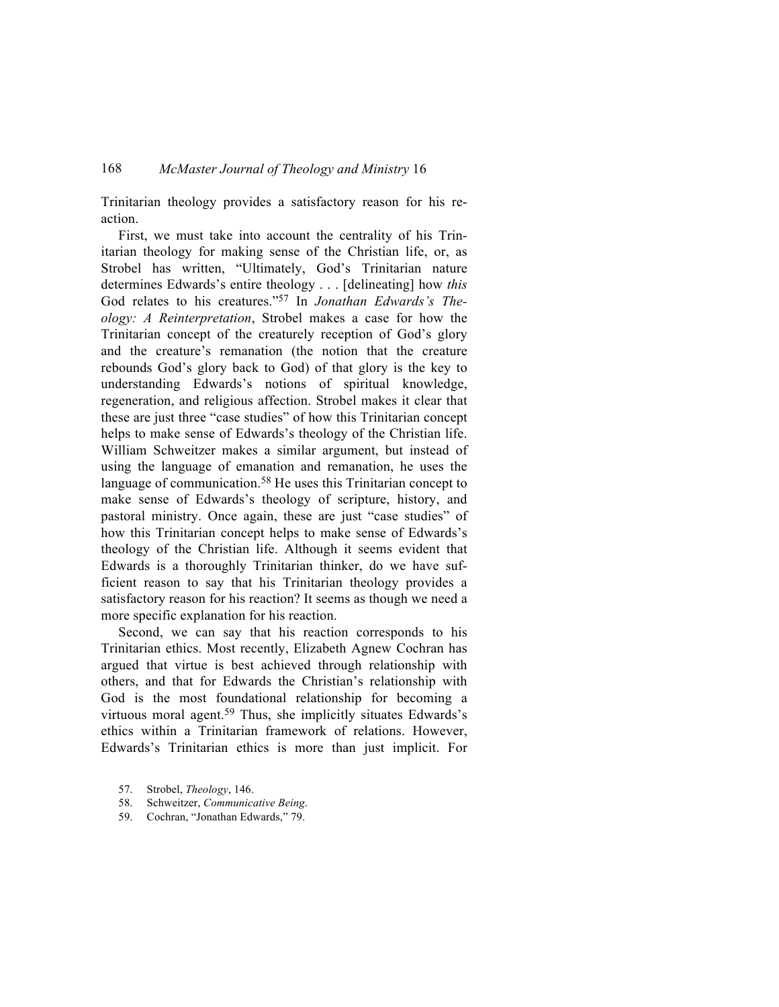Trinitarian theology provides a satisfactory reason for his reaction.

First, we must take into account the centrality of his Trinitarian theology for making sense of the Christian life, or, as Strobel has written, "Ultimately, God's Trinitarian nature determines Edwards's entire theology . . . [delineating] how *this* God relates to his creatures."57 In *Jonathan Edwards's Theology: A Reinterpretation*, Strobel makes a case for how the Trinitarian concept of the creaturely reception of God's glory and the creature's remanation (the notion that the creature rebounds God's glory back to God) of that glory is the key to understanding Edwards's notions of spiritual knowledge, regeneration, and religious affection. Strobel makes it clear that these are just three "case studies" of how this Trinitarian concept helps to make sense of Edwards's theology of the Christian life. William Schweitzer makes a similar argument, but instead of using the language of emanation and remanation, he uses the language of communication.<sup>58</sup> He uses this Trinitarian concept to make sense of Edwards's theology of scripture, history, and pastoral ministry. Once again, these are just "case studies" of how this Trinitarian concept helps to make sense of Edwards's theology of the Christian life. Although it seems evident that Edwards is a thoroughly Trinitarian thinker, do we have sufficient reason to say that his Trinitarian theology provides a satisfactory reason for his reaction? It seems as though we need a more specific explanation for his reaction.

Second, we can say that his reaction corresponds to his Trinitarian ethics. Most recently, Elizabeth Agnew Cochran has argued that virtue is best achieved through relationship with others, and that for Edwards the Christian's relationship with God is the most foundational relationship for becoming a virtuous moral agent.59 Thus, she implicitly situates Edwards's ethics within a Trinitarian framework of relations. However, Edwards's Trinitarian ethics is more than just implicit. For

- 58. Schweitzer, *Communicative Being*.
- 59. Cochran, "Jonathan Edwards," 79.

<sup>57.</sup> Strobel, *Theology*, 146.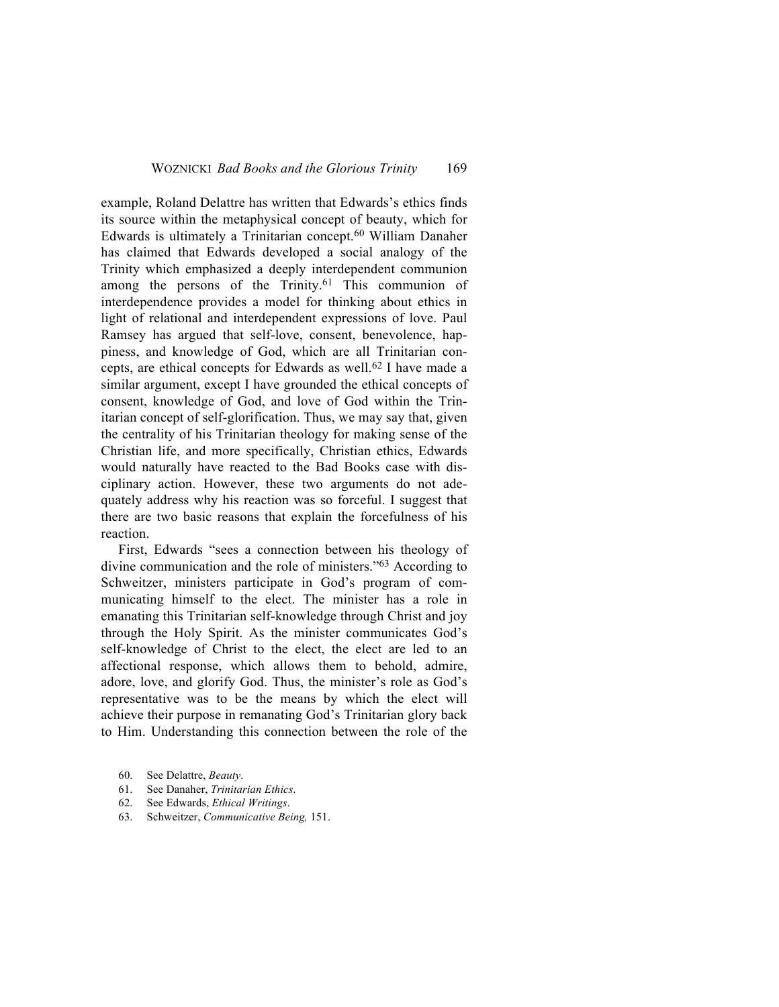example, Roland Delattre has written that Edwards's ethics finds its source within the metaphysical concept of beauty, which for Edwards is ultimately a Trinitarian concept.60 William Danaher has claimed that Edwards developed a social analogy of the Trinity which emphasized a deeply interdependent communion among the persons of the Trinity.<sup>61</sup> This communion of interdependence provides a model for thinking about ethics in light of relational and interdependent expressions of love. Paul Ramsey has argued that self-love, consent, benevolence, happiness, and knowledge of God, which are all Trinitarian concepts, are ethical concepts for Edwards as well.62 I have made a similar argument, except I have grounded the ethical concepts of consent, knowledge of God, and love of God within the Trinitarian concept of self-glorification. Thus, we may say that, given the centrality of his Trinitarian theology for making sense of the Christian life, and more specifically, Christian ethics, Edwards would naturally have reacted to the Bad Books case with disciplinary action. However, these two arguments do not adequately address why his reaction was so forceful. I suggest that there are two basic reasons that explain the forcefulness of his reaction.

First, Edwards "sees a connection between his theology of divine communication and the role of ministers."63 According to Schweitzer, ministers participate in God's program of communicating himself to the elect. The minister has a role in emanating this Trinitarian self-knowledge through Christ and joy through the Holy Spirit. As the minister communicates God's self-knowledge of Christ to the elect, the elect are led to an affectional response, which allows them to behold, admire, adore, love, and glorify God. Thus, the minister's role as God's representative was to be the means by which the elect will achieve their purpose in remanating God's Trinitarian glory back to Him. Understanding this connection between the role of the

- 61. See Danaher, *Trinitarian Ethics*.
- 62. See Edwards, *Ethical Writings*.
- 63. Schweitzer, *Communicative Being,* 151.

<sup>60.</sup> See Delattre, *Beauty*.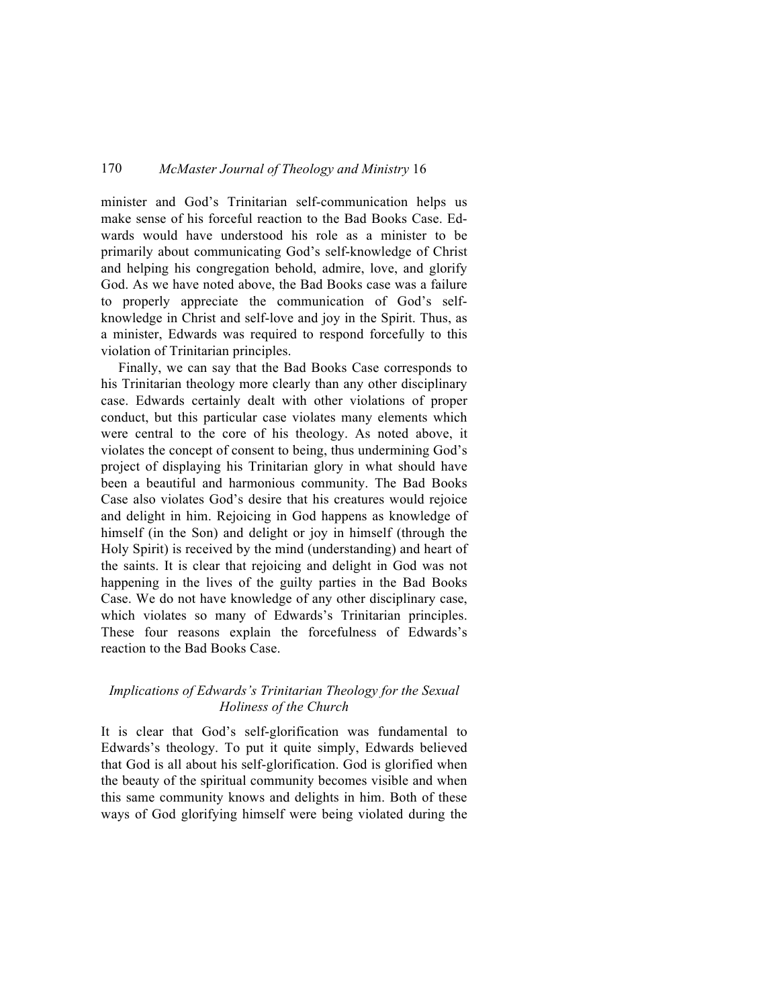minister and God's Trinitarian self-communication helps us make sense of his forceful reaction to the Bad Books Case. Edwards would have understood his role as a minister to be primarily about communicating God's self-knowledge of Christ and helping his congregation behold, admire, love, and glorify God. As we have noted above, the Bad Books case was a failure to properly appreciate the communication of God's selfknowledge in Christ and self-love and joy in the Spirit. Thus, as a minister, Edwards was required to respond forcefully to this violation of Trinitarian principles.

Finally, we can say that the Bad Books Case corresponds to his Trinitarian theology more clearly than any other disciplinary case. Edwards certainly dealt with other violations of proper conduct, but this particular case violates many elements which were central to the core of his theology. As noted above, it violates the concept of consent to being, thus undermining God's project of displaying his Trinitarian glory in what should have been a beautiful and harmonious community. The Bad Books Case also violates God's desire that his creatures would rejoice and delight in him. Rejoicing in God happens as knowledge of himself (in the Son) and delight or joy in himself (through the Holy Spirit) is received by the mind (understanding) and heart of the saints. It is clear that rejoicing and delight in God was not happening in the lives of the guilty parties in the Bad Books Case. We do not have knowledge of any other disciplinary case, which violates so many of Edwards's Trinitarian principles. These four reasons explain the forcefulness of Edwards's reaction to the Bad Books Case.

# *Implications of Edwards's Trinitarian Theology for the Sexual Holiness of the Church*

It is clear that God's self-glorification was fundamental to Edwards's theology. To put it quite simply, Edwards believed that God is all about his self-glorification. God is glorified when the beauty of the spiritual community becomes visible and when this same community knows and delights in him. Both of these ways of God glorifying himself were being violated during the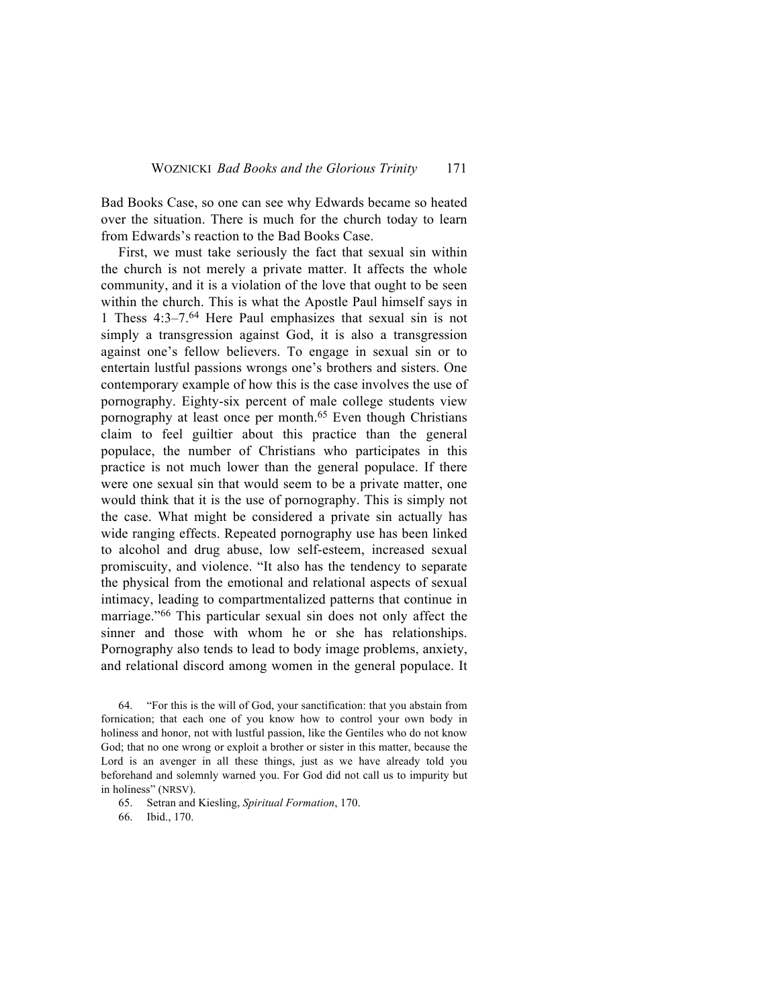Bad Books Case, so one can see why Edwards became so heated over the situation. There is much for the church today to learn from Edwards's reaction to the Bad Books Case.

First, we must take seriously the fact that sexual sin within the church is not merely a private matter. It affects the whole community, and it is a violation of the love that ought to be seen within the church. This is what the Apostle Paul himself says in 1 Thess 4:3–7.64 Here Paul emphasizes that sexual sin is not simply a transgression against God, it is also a transgression against one's fellow believers. To engage in sexual sin or to entertain lustful passions wrongs one's brothers and sisters. One contemporary example of how this is the case involves the use of pornography. Eighty-six percent of male college students view pornography at least once per month.<sup>65</sup> Even though Christians claim to feel guiltier about this practice than the general populace, the number of Christians who participates in this practice is not much lower than the general populace. If there were one sexual sin that would seem to be a private matter, one would think that it is the use of pornography. This is simply not the case. What might be considered a private sin actually has wide ranging effects. Repeated pornography use has been linked to alcohol and drug abuse, low self-esteem, increased sexual promiscuity, and violence. "It also has the tendency to separate the physical from the emotional and relational aspects of sexual intimacy, leading to compartmentalized patterns that continue in marriage."66 This particular sexual sin does not only affect the sinner and those with whom he or she has relationships. Pornography also tends to lead to body image problems, anxiety, and relational discord among women in the general populace. It

64. "For this is the will of God, your sanctification: that you abstain from fornication; that each one of you know how to control your own body in holiness and honor, not with lustful passion, like the Gentiles who do not know God; that no one wrong or exploit a brother or sister in this matter, because the Lord is an avenger in all these things, just as we have already told you beforehand and solemnly warned you. For God did not call us to impurity but in holiness" (NRSV).

65. Setran and Kiesling, *Spiritual Formation*, 170.

66. Ibid., 170.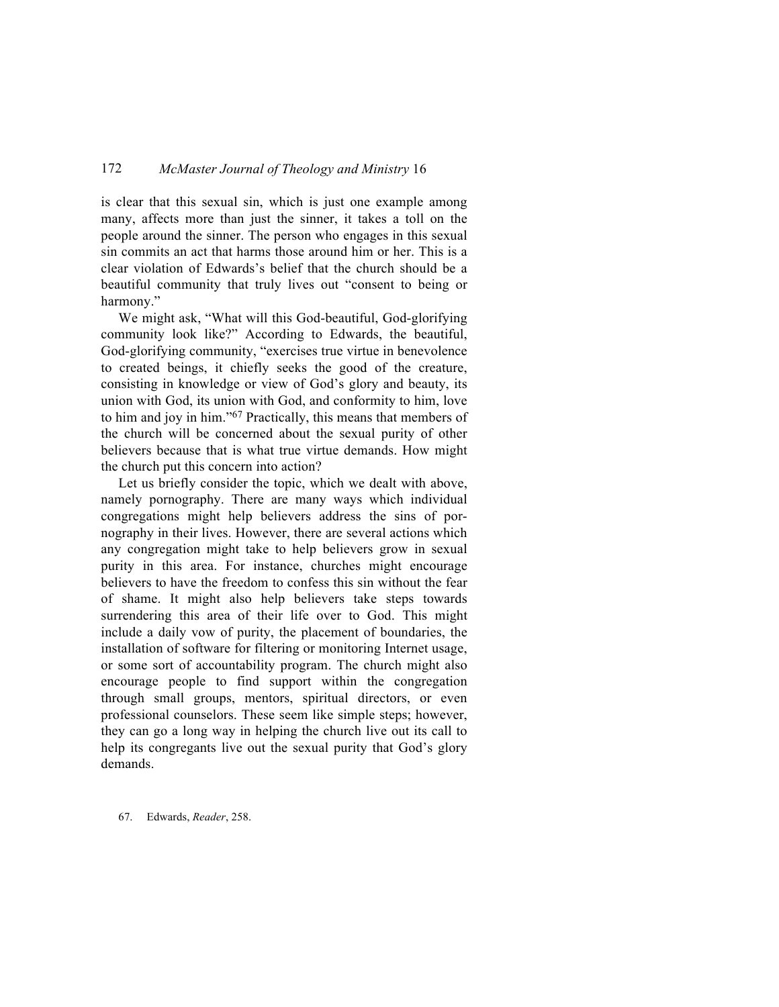is clear that this sexual sin, which is just one example among many, affects more than just the sinner, it takes a toll on the people around the sinner. The person who engages in this sexual sin commits an act that harms those around him or her. This is a clear violation of Edwards's belief that the church should be a beautiful community that truly lives out "consent to being or harmony."

We might ask, "What will this God-beautiful, God-glorifying community look like?" According to Edwards, the beautiful, God-glorifying community, "exercises true virtue in benevolence to created beings, it chiefly seeks the good of the creature, consisting in knowledge or view of God's glory and beauty, its union with God, its union with God, and conformity to him, love to him and joy in him."67 Practically, this means that members of the church will be concerned about the sexual purity of other believers because that is what true virtue demands. How might the church put this concern into action?

Let us briefly consider the topic, which we dealt with above, namely pornography. There are many ways which individual congregations might help believers address the sins of pornography in their lives. However, there are several actions which any congregation might take to help believers grow in sexual purity in this area. For instance, churches might encourage believers to have the freedom to confess this sin without the fear of shame. It might also help believers take steps towards surrendering this area of their life over to God. This might include a daily vow of purity, the placement of boundaries, the installation of software for filtering or monitoring Internet usage, or some sort of accountability program. The church might also encourage people to find support within the congregation through small groups, mentors, spiritual directors, or even professional counselors. These seem like simple steps; however, they can go a long way in helping the church live out its call to help its congregants live out the sexual purity that God's glory demands.

67. Edwards, *Reader*, 258.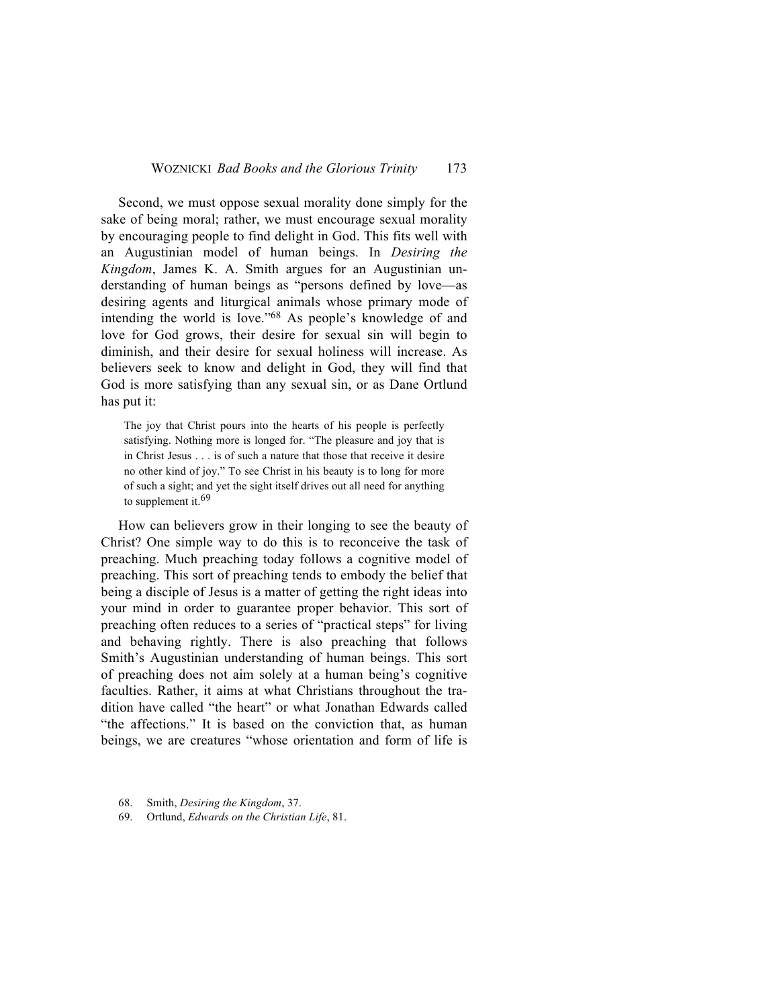Second, we must oppose sexual morality done simply for the sake of being moral; rather, we must encourage sexual morality by encouraging people to find delight in God. This fits well with an Augustinian model of human beings. In *Desiring the Kingdom*, James K. A. Smith argues for an Augustinian understanding of human beings as "persons defined by love—as desiring agents and liturgical animals whose primary mode of intending the world is love."68 As people's knowledge of and love for God grows, their desire for sexual sin will begin to diminish, and their desire for sexual holiness will increase. As believers seek to know and delight in God, they will find that God is more satisfying than any sexual sin, or as Dane Ortlund has put it:

The joy that Christ pours into the hearts of his people is perfectly satisfying. Nothing more is longed for. "The pleasure and joy that is in Christ Jesus . . . is of such a nature that those that receive it desire no other kind of joy." To see Christ in his beauty is to long for more of such a sight; and yet the sight itself drives out all need for anything to supplement it.<sup>69</sup>

How can believers grow in their longing to see the beauty of Christ? One simple way to do this is to reconceive the task of preaching. Much preaching today follows a cognitive model of preaching. This sort of preaching tends to embody the belief that being a disciple of Jesus is a matter of getting the right ideas into your mind in order to guarantee proper behavior. This sort of preaching often reduces to a series of "practical steps" for living and behaving rightly. There is also preaching that follows Smith's Augustinian understanding of human beings. This sort of preaching does not aim solely at a human being's cognitive faculties. Rather, it aims at what Christians throughout the tradition have called "the heart" or what Jonathan Edwards called "the affections." It is based on the conviction that, as human beings, we are creatures "whose orientation and form of life is

- 68. Smith, *Desiring the Kingdom*, 37.
- 69. Ortlund, *Edwards on the Christian Life*, 81.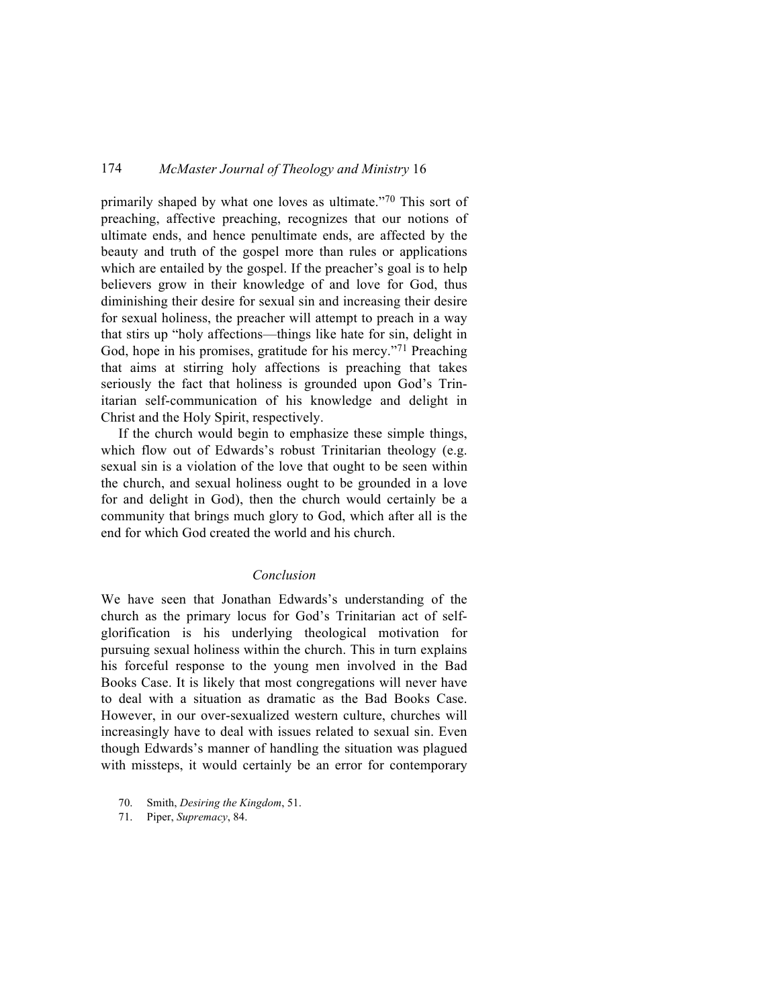primarily shaped by what one loves as ultimate."70 This sort of preaching, affective preaching, recognizes that our notions of ultimate ends, and hence penultimate ends, are affected by the beauty and truth of the gospel more than rules or applications which are entailed by the gospel. If the preacher's goal is to help believers grow in their knowledge of and love for God, thus diminishing their desire for sexual sin and increasing their desire for sexual holiness, the preacher will attempt to preach in a way that stirs up "holy affections—things like hate for sin, delight in God, hope in his promises, gratitude for his mercy."<sup>71</sup> Preaching that aims at stirring holy affections is preaching that takes seriously the fact that holiness is grounded upon God's Trinitarian self-communication of his knowledge and delight in Christ and the Holy Spirit, respectively.

If the church would begin to emphasize these simple things, which flow out of Edwards's robust Trinitarian theology (e.g. sexual sin is a violation of the love that ought to be seen within the church, and sexual holiness ought to be grounded in a love for and delight in God), then the church would certainly be a community that brings much glory to God, which after all is the end for which God created the world and his church.

#### *Conclusion*

We have seen that Jonathan Edwards's understanding of the church as the primary locus for God's Trinitarian act of selfglorification is his underlying theological motivation for pursuing sexual holiness within the church. This in turn explains his forceful response to the young men involved in the Bad Books Case. It is likely that most congregations will never have to deal with a situation as dramatic as the Bad Books Case. However, in our over-sexualized western culture, churches will increasingly have to deal with issues related to sexual sin. Even though Edwards's manner of handling the situation was plagued with missteps, it would certainly be an error for contemporary

- 70. Smith, *Desiring the Kingdom*, 51.
- 71. Piper, *Supremacy*, 84.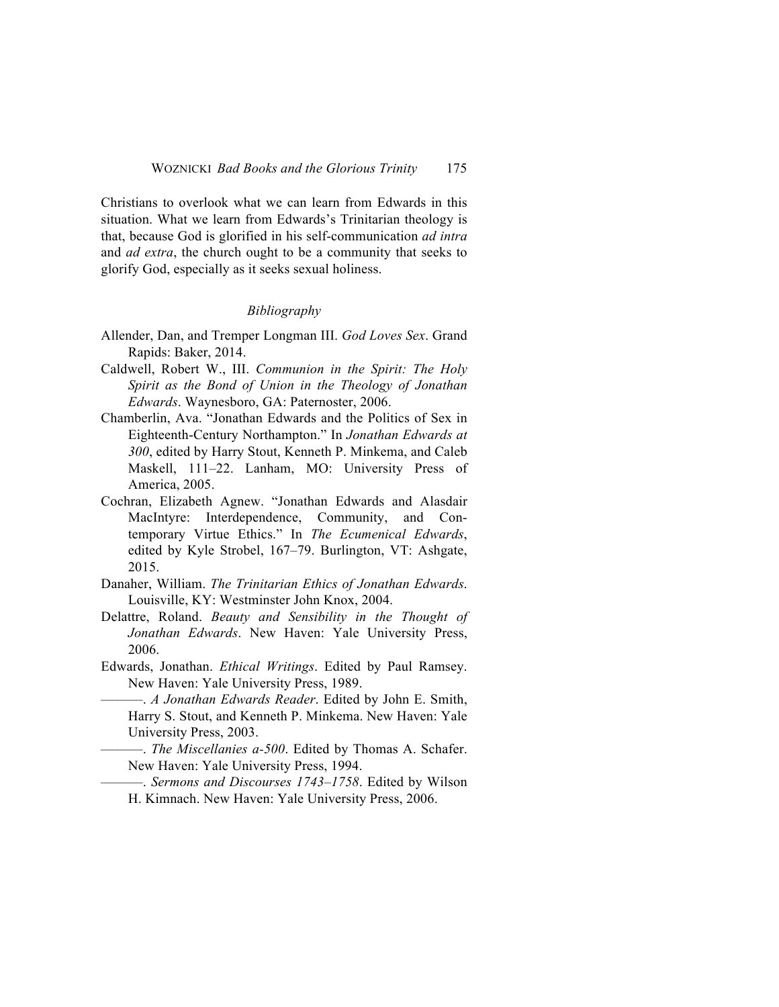Christians to overlook what we can learn from Edwards in this situation. What we learn from Edwards's Trinitarian theology is that, because God is glorified in his self-communication *ad intra* and *ad extra*, the church ought to be a community that seeks to glorify God, especially as it seeks sexual holiness.

#### *Bibliography*

- Allender, Dan, and Tremper Longman III. *God Loves Sex*. Grand Rapids: Baker, 2014.
- Caldwell, Robert W., III. *Communion in the Spirit: The Holy Spirit as the Bond of Union in the Theology of Jonathan Edwards*. Waynesboro, GA: Paternoster, 2006.
- Chamberlin, Ava. "Jonathan Edwards and the Politics of Sex in Eighteenth-Century Northampton." In *Jonathan Edwards at 300*, edited by Harry Stout, Kenneth P. Minkema, and Caleb Maskell, 111–22. Lanham, MO: University Press of America, 2005.
- Cochran, Elizabeth Agnew. "Jonathan Edwards and Alasdair MacIntyre: Interdependence, Community, and Contemporary Virtue Ethics." In *The Ecumenical Edwards*, edited by Kyle Strobel, 167–79. Burlington, VT: Ashgate, 2015.
- Danaher, William. *The Trinitarian Ethics of Jonathan Edwards*. Louisville, KY: Westminster John Knox, 2004.
- Delattre, Roland. *Beauty and Sensibility in the Thought of Jonathan Edwards*. New Haven: Yale University Press, 2006.
- Edwards, Jonathan. *Ethical Writings*. Edited by Paul Ramsey. New Haven: Yale University Press, 1989.
	- ———. *A Jonathan Edwards Reader*. Edited by John E. Smith, Harry S. Stout, and Kenneth P. Minkema. New Haven: Yale University Press, 2003.
	- ———. *The Miscellanies a-500*. Edited by Thomas A. Schafer. New Haven: Yale University Press, 1994.
	- ———. *Sermons and Discourses 1743–1758*. Edited by Wilson H. Kimnach. New Haven: Yale University Press, 2006.